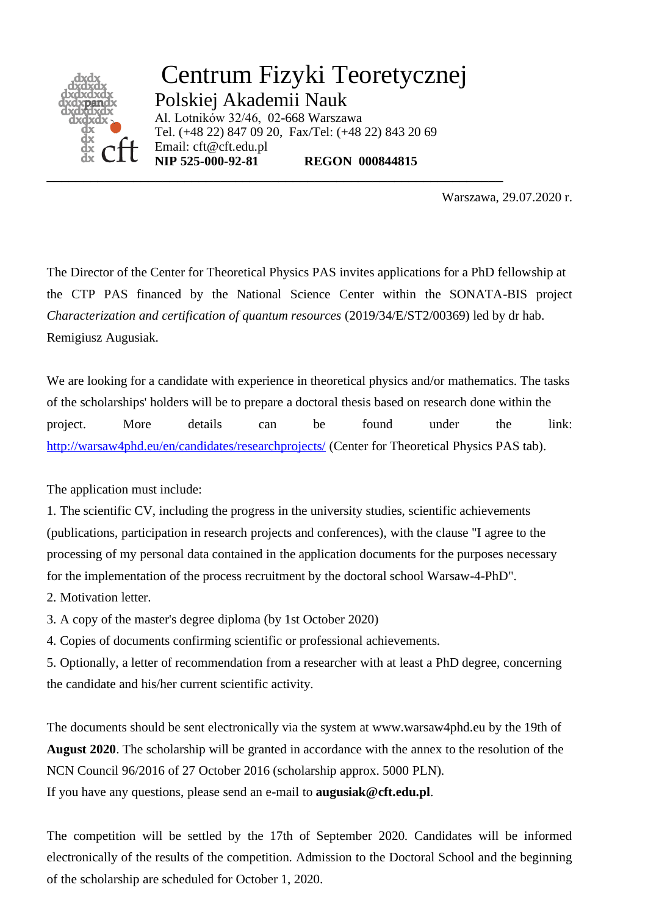

Centrum Fizyki Teoretycznej Polskiej Akademii Nauk Al. Lotników 32/46, 02-668 Warszawa Tel. (+48 22) 847 09 20, Fax/Tel: (+48 22) 843 20 69 Email: cft@cft.edu.pl **NIP 525-000-92-81 REGON 000844815**

\_\_\_\_\_\_\_\_\_\_\_\_\_\_\_\_\_\_\_\_\_\_\_\_\_\_\_\_\_\_\_\_\_\_\_\_\_\_\_\_\_\_\_\_\_\_\_\_\_\_\_\_\_\_\_\_\_\_\_\_\_\_\_

Warszawa, 29.07.2020 r.

The Director of the Center for Theoretical Physics PAS invites applications for a PhD fellowship at the CTP PAS financed by the National Science Center within the SONATA-BIS project *Characterization and certification of quantum resources* (2019/34/E/ST2/00369) led by dr hab. Remigiusz Augusiak.

We are looking for a candidate with experience in theoretical physics and/or mathematics. The tasks of the scholarships' holders will be to prepare a doctoral thesis based on research done within the project. More details can be found under the link: <http://warsaw4phd.eu/en/candidates/researchprojects/> (Center for Theoretical Physics PAS tab).

The application must include:

1. The scientific CV, including the progress in the university studies, scientific achievements (publications, participation in research projects and conferences), with the clause "I agree to the processing of my personal data contained in the application documents for the purposes necessary for the implementation of the process recruitment by the doctoral school Warsaw-4-PhD".

2. Motivation letter.

3. A copy of the master's degree diploma (by 1st October 2020)

4. Copies of documents confirming scientific or professional achievements.

5. Optionally, a letter of recommendation from a researcher with at least a PhD degree, concerning the candidate and his/her current scientific activity.

The documents should be sent electronically via the system at www.warsaw4phd.eu by the 19th of **August 2020**. The scholarship will be granted in accordance with the annex to the resolution of the NCN Council 96/2016 of 27 October 2016 (scholarship approx. 5000 PLN).

If you have any questions, please send an e-mail to **augusiak@cft.edu.pl**.

The competition will be settled by the 17th of September 2020. Candidates will be informed electronically of the results of the competition. Admission to the Doctoral School and the beginning of the scholarship are scheduled for October 1, 2020.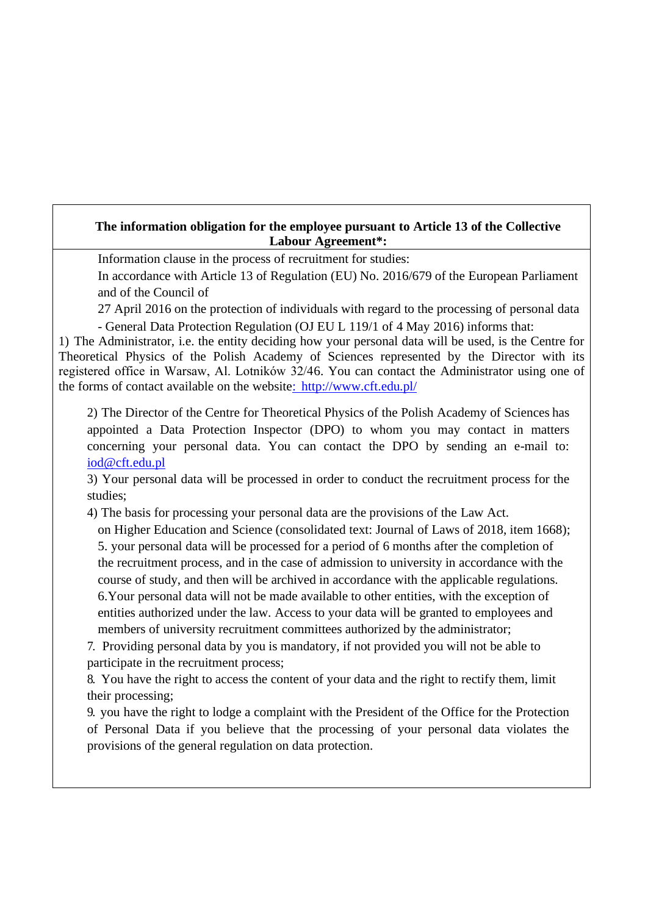## **The information obligation for the employee pursuant to Article 13 of the Collective Labour Agreement\*:**

Information clause in the process of recruitment for studies:

In accordance with Article 13 of Regulation (EU) No. 2016/679 of the European Parliament and of the Council of

27 April 2016 on the protection of individuals with regard to the processing of personal data - General Data Protection Regulation (OJ EU L 119/1 of 4 May 2016) informs that:

1) The Administrator, i.e. the entity deciding how your personal data will be used, is the Centre for Theoretical Physics of the Polish Academy of Sciences represented by the Director with its registered office in Warsaw, Al. Lotników 32/46. You can contact the Administrator using one of the forms of contact available on the website: <http://www.cft.edu.pl/>

2) The Director of the Centre for Theoretical Physics of the Polish Academy of Sciences has appointed a Data Protection Inspector (DPO) to whom you may contact in matters concerning your personal data. You can contact the DPO by sending an e-mail to: [iod@cft.edu.pl](mailto:iod@cft.edu.pl)

3) Your personal data will be processed in order to conduct the recruitment process for the studies;

4) The basis for processing your personal data are the provisions of the Law Act.

on Higher Education and Science (consolidated text: Journal of Laws of 2018, item 1668); 5. your personal data will be processed for a period of 6 months after the completion of the recruitment process, and in the case of admission to university in accordance with the course of study, and then will be archived in accordance with the applicable regulations. 6.Your personal data will not be made available to other entities, with the exception of entities authorized under the law. Access to your data will be granted to employees and members of university recruitment committees authorized by the administrator;

7. Providing personal data by you is mandatory, if not provided you will not be able to participate in the recruitment process;

8. You have the right to access the content of your data and the right to rectify them, limit their processing;

9. you have the right to lodge a complaint with the President of the Office for the Protection of Personal Data if you believe that the processing of your personal data violates the provisions of the general regulation on data protection.